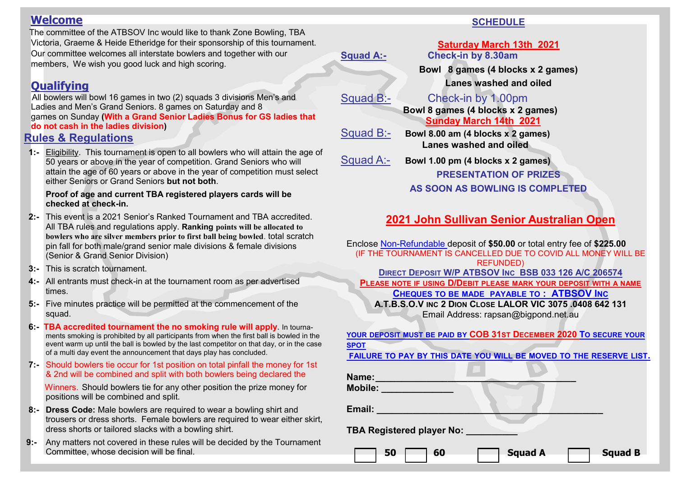#### **Welcome**

 The committee of the ATBSOV Inc would like to thank Zone Bowling, TBA Victoria, Graeme & Heide Etheridge for their sponsorship of this tournament. Our committee welcomes all interstate bowlers and together with our members, We wish you good luck and high scoring.

## **Qualifying**

 All bowlers will bowl 16 games in two (2) squads 3 divisions Men's and Ladies and Men's Grand Seniors. 8 games on Saturday and 8 games on Sunday **(With a Grand Senior Ladies Bonus for GS ladies that do not cash in the ladies division)** 

#### **Rules & Regulations**

 **1:-** Eligibility. This tournament is open to all bowlers who will attain the age of 50 years or above in the year of competition. Grand Seniors who will attain the age of 60 years or above in the year of competition must select either Seniors or Grand Seniors **but not both**.

#### **Proof of age and current TBA registered players cards will be checked at check-in.**

- **2:-** This event is a 2021 Senior's Ranked Tournament and TBA accredited. All TBA rules and regulations apply. **Ranking points will be allocated to bowlers who are silver members prior to first ball being bowled**. total scratch pin fall for both male/grand senior male divisions & female divisions (Senior & Grand Senior Division)
- **3:-** This is scratch tournament.
- **4:-** All entrants must check-in at the tournament room as per advertised times.
- **5:-** Five minutes practice will be permitted at the commencement of the squad.
- **6:- TBA accredited tournament the no smoking rule will apply**. In tournaments smoking is prohibited by all participants from when the first ball is bowled in the event warm up until the ball is bowled by the last competitor on that day, or in the case of a multi day event the announcement that days play has concluded.
- **7:-** Should bowlers tie occur for 1st position on total pinfall the money for 1st & 2nd will be combined and split with both bowlers being declared the

 Winners. Should bowlers tie for any other position the prize money for positions will be combined and split.

- **8:- Dress Code:** Male bowlers are required to wear a bowling shirt and trousers or dress shorts. Female bowlers are required to wear either skirt, dress shorts or tailored slacks with a bowling shirt.
- **9:-** Any matters not covered in these rules will be decided by the Tournament Committee, whose decision will be final.

#### **SCHEDULE**

**Saturday March 13th 2021 Squad A:- Check-in by 8.30am Bowl 8 games (4 blocks x 2 games) Lanes washed and oiled** Squad B:- Check-in by 1.00pm  **Bowl 8 games (4 blocks x 2 games) Sunday March 14th 2021** Squad B:- **Bowl 8.00 am (4 blocks x 2 games) Lanes washed and oiled** Squad A:- **Bowl 1.00 pm (4 blocks x 2 games) PRESENTATION OF PRIZES AS SOON AS BOWLING IS COMPLETED**

## **2021 John Sullivan Senior Australian Open**

Enclose Non-Refundable deposit of **\$50.00** or total entry fee of **\$225.00** (IF THE TOURNAMENT IS CANCELLED DUE TO COVID ALL MONEY WILL BE REFUNDED) **DIRECT DEPOSIT W/P ATBSOV INC BSB 033 126 A/C 206574 PLEASE NOTE IF USING D/DEBIT PLEASE MARK YOUR DEPOSIT WITH A NAME CHEQUES TO BE MADE PAYABLE TO : ATBSOV INC A.T.B.S.O.V INC 2 DION CLOSE LALOR VIC 3075 .0408 642 131** Email Address: rapsan@bigpond.net.au

**YOUR DEPOSIT MUST BE PAID BY COB 31ST DECEMBER 2020 TO SECURE YOUR SPOT**

**FAILURE TO PAY BY THIS DATE YOU WILL BE MOVED TO THE RESERVE LIST.** 

| Name:<br>Mobile:                 |                |                |
|----------------------------------|----------------|----------------|
| Email:                           |                |                |
| <b>TBA Registered player No:</b> |                |                |
| 50<br>60                         | <b>Squad A</b> | <b>Squad B</b> |